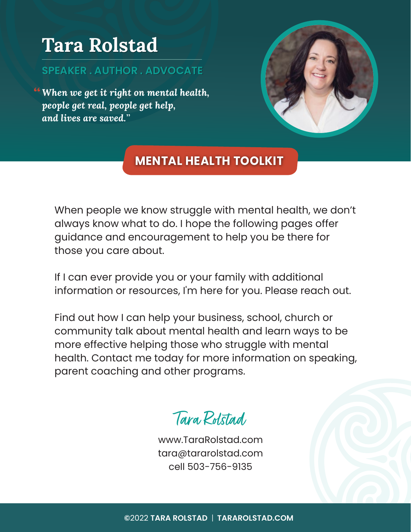## **Tara Rolstad Tara Rolstad**

### **SPEAKER . AUTHOR . ADVOCATE SPEAKER . AUTHOR . ADVOCATE**

*When we get it right on mental health,*  "*people get real, people get help, and lives are saved.*"



#### **MENTAL HEALTH TOOLKIT**

When people we know struggle with mental health, we don't always know what to do. I hope the following pages offer guidance and encouragement to help you be there for those you care about.

If I can ever provide you or your family with additional information or resources, I'm here for you. Please reach out.

Find out how I can help your business, school, church or community talk about mental health and learn ways to be more effective helping those who struggle with mental health. Contact me today for more information on speaking, parent coaching and other programs.

## Tara Rolstad

www.TaraRolstad.com tara@tararolstad.com cell 503-756-9135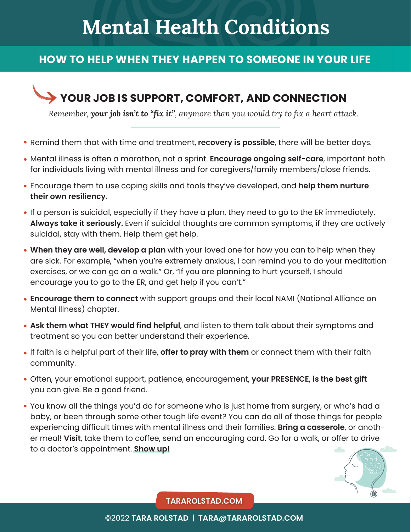## **Mental Health Conditions**

#### **HOW TO HELP WHEN THEY HAPPEN TO SOMEONE IN YOUR LIFE**

### **YOUR JOB IS SUPPORT, COMFORT, AND CONNECTION**

*Remember, your job isn't to "fix it", anymore than you would try to fix a heart attack.*

- Remind them that with time and treatment, **recovery is possible**, there will be better days.
- Mental illness is often a marathon, not a sprint. **Encourage ongoing self-care**, important both for individuals living with mental illness and for caregivers/family members/close friends.
- Encourage them to use coping skills and tools they've developed, and **help them nurture their own resiliency.**
- If a person is suicidal, especially if they have a plan, they need to go to the ER immediately. **Always take it seriously.** Even if suicidal thoughts are common symptoms, if they are actively suicidal, stay with them. Help them get help.
- **When they are well, develop a plan** with your loved one for how you can to help when they are sick. For example, "when you're extremely anxious, I can remind you to do your meditation exercises, or we can go on a walk." Or, "If you are planning to hurt yourself, I should encourage you to go to the ER, and get help if you can't."
- **Encourage them to connect** with support groups and their local NAMI (National Alliance on Mental Illness) chapter.
- **Ask them what THEY would find helpful**, and listen to them talk about their symptoms and treatment so you can better understand their experience.
- If faith is a helpful part of their life, **offer to pray with them** or connect them with their faith community.
- Often, your emotional support, patience, encouragement, **your PRESENCE**, **is the best gift** you can give. Be a good friend.
- You know all the things you'd do for someone who is just home from surgery, or who's had a baby, or been through some other tough life event? You can do all of those things for people experiencing difficult times with mental illness and their families. **Bring a casserole**, or another meal! **Visit**, take them to coffee, send an encouraging card. Go for a walk, or offer to drive to a doctor's appointment. **Show up!**



**TARAROLSTAD.COM**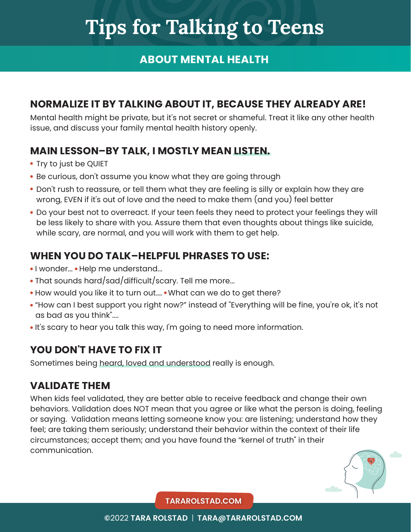# **Tips for Talking to Teens**

#### **ABOUT MENTAL HEALTH**

#### **NORMALIZE IT BY TALKING ABOUT IT, BECAUSE THEY ALREADY ARE!**

Mental health might be private, but it's not secret or shameful. Treat it like any other health issue, and discuss your family mental health history openly.

#### **MAIN LESSON–BY TALK, I MOSTLY MEAN LISTEN.**

- Try to just be QUIET
- Be curious, don't assume you know what they are going through
- Don't rush to reassure, or tell them what they are feeling is silly or explain how they are wrong, EVEN if it's out of love and the need to make them (and you) feel better
- Do your best not to overreact. If your teen feels they need to protect your feelings they will be less likely to share with you. Assure them that even thoughts about things like suicide, while scary, are normal, and you will work with them to get help.

#### **WHEN YOU DO TALK–HELPFUL PHRASES TO USE:**

- I wonder... Help me understand...
- That sounds hard/sad/difficult/scary. Tell me more...
- How would you like it to turn out.... What can we do to get there?
- "How can I best support you right now?" instead of "Everything will be fine, you're ok, it's not as bad as you think"....
- . It's scary to hear you talk this way, I'm going to need more information.

#### **YOU DON'T HAVE TO FIX IT**

Sometimes being heard, loved and understood really is enough.

#### **VALIDATE THEM**

When kids feel validated, they are better able to receive feedback and change their own behaviors. Validation does NOT mean that you agree or like what the person is doing, feeling or saying. Validation means letting someone know you: are listening; understand how they feel; are taking them seriously; understand their behavior within the context of their life circumstances; accept them; and you have found the "kernel of truth" in their communication.



**TARAROLSTAD.COM**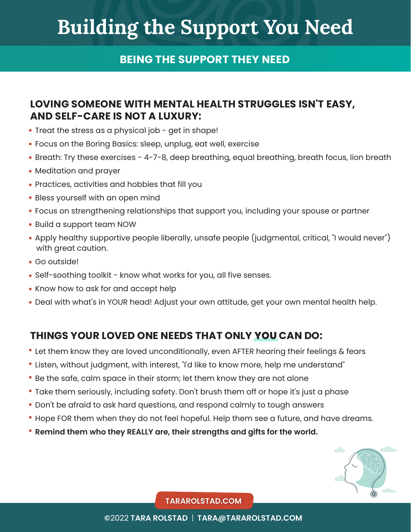# **Building the Support You Need**

#### **BEING THE SUPPORT THEY NEED**

#### **LOVING SOMEONE WITH MENTAL HEALTH STRUGGLES ISN'T EASY, AND SELF-CARE IS NOT A LUXURY:**

- Treat the stress as a physical job get in shape!
- Focus on the Boring Basics: sleep, unplug, eat well, exercise
- Breath: Try these exercises 4-7-8, deep breathing, equal breathing, breath focus, lion breath
- Meditation and prayer
- Practices, activities and hobbies that fill you
- Bless yourself with an open mind
- Focus on strengthening relationships that support you, including your spouse or partner
- Build a support team NOW
- Apply healthy supportive people liberally, unsafe people (judgmental, critical, "I would never") with great caution.
- Go outside!
- Self-soothing toolkit know what works for you, all five senses.
- Know how to ask for and accept help
- Deal with what's in YOUR head! Adjust your own attitude, get your own mental health help.

#### **THINGS YOUR LOVED ONE NEEDS THAT ONLY YOU CAN DO:**

- Let them know they are loved unconditionally, even AFTER hearing their feelings & fears
- Listen, without judgment, with interest, "I'd like to know more, help me understand"
- Be the safe, calm space in their storm; let them know they are not alone
- Take them seriously, including safety. Don't brush them off or hope it's just a phase
- Don't be afraid to ask hard questions, and respond calmly to tough answers
- Hope FOR them when they do not feel hopeful. Help them see a future, and have dreams.
- **Remind them who they REALLY are, their strengths and gifts for the world.**



**TARAROLSTAD.COM**